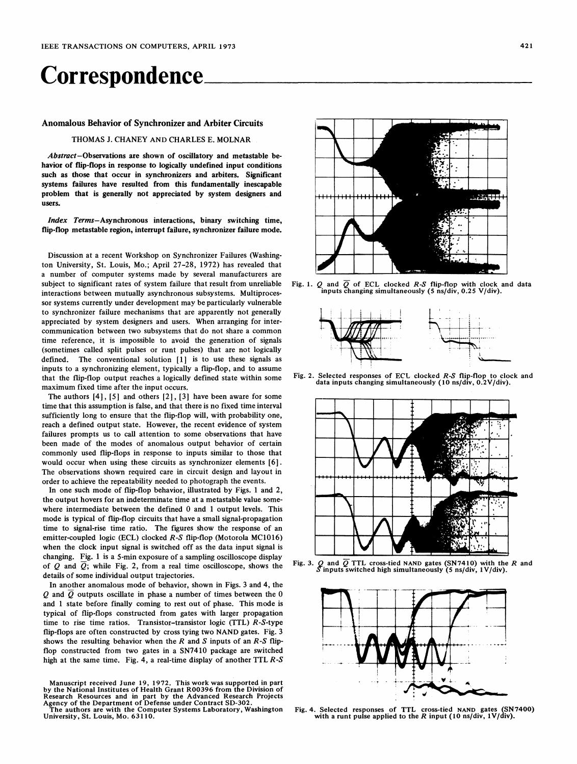# Correspondence.

## Anomalous Behavior of Synchronizer and Arbiter Circuits

## THOMAS J. CHANEY AND CHARLES E. MOLNAR

Abstract-Observations are shown of oscillatory and metastable behavior of flip-flops in response to logically undefined input conditions such as those that occur in synchronizers and arbiters. Significant systems failures have resulted from this fundamentally inescapable problem that is generally not appreciated by system designers and users.

Index Terms-Asynchronous interactions, binary switching time, flip-flop metastable region, interrupt failure, synchronizer failure mode.

Discussion at a recent Workshop on Synchronizer Failures (Washington University, St. Louis, Mo.; April 27-28, 1972) has revealed that a number of computer systems made by several manufacturers are subject to significant rates of system failure that result from unreliable interactions between mutually asynchronous subsystems. Multiprocessor systems currently under development may be particularly vulnerable to synchronizer failure mechanisms that are apparently not generally appreciated by system designers and users. When arranging for intercommunication between two subsystems that do not share <sup>a</sup> common time reference, it is impossible to avoid the generation of signals (sometimes called split pulses or runt pulses) that are not logically defined. The conventional solution [1] is to use these signals as inputs to a synchronizing element, typically a flip-flop, and to assume that the flip-flop output reaches a logically defined state within some maximum fixed time after the input occurs.

The authors  $[4]$ ,  $[5]$  and others  $[2]$ ,  $[3]$  have been aware for some time that this assumption is false, and that there is no fixed time interval sufficiently long to ensure that the flip-flop will, with probability one, reach a defined output state. However, the recent evidence of system failures prompts us to call attention to some observations that have been made of the modes of anomalous output behavior of certain commonly used flip-flops in response to inputs similar to those that would occur when using these circuits as synchronizer elements [6]. The observations shown required care in circuit design and layout in order to achieve the repeatability needed to photograph the events.

In one such mode of flip-flop behavior, illustrated by Figs. <sup>1</sup> and 2, the output hovers for an indeterminate time at a metastable value somewhere intermediate between the defined 0 and <sup>1</sup> output levels. This mode is typical of flip-flop circuits that have <sup>a</sup> small signal-propagation time to signal-rise time ratio. The figures show the response of an emitter-coupled logic (ECL) clocked R-S flip-flop (Motorola MC1016) when the clock input signal is switched off as the data input signal is changing. Fig. <sup>1</sup> is a 5-min exposure of a sampling oscilloscope display of Q and  $\overline{Q}$ ; while Fig. 2, from a real time oscilloscope, shows the details of some individual output trajectories.

In another anomalous mode of behavior, shown in Figs. 3 and 4, the Q and  $\overline{Q}$  outputs oscillate in phase a number of times between the 0 and <sup>1</sup> state before finally coming to rest out of phase. This mode is typical of flip-flops constructed from gates with larger propagation time to rise time ratios. Transistor-transistor logic (TTL) R-S-type flip-flops are often constructed by cross tying two NAND gates. Fig. <sup>3</sup> shows the resulting behavior when the  $R$  and  $S$  inputs of an  $R-S$  flipflop constructed from two gates in a SN7410 package are switched high at the same time. Fig. 4, a real-time display of another TTL  $R-S$ 

Manuscript received June 19, 1972. This work was supported in part by the National Institutes of Health Grant R00396 from the Division of Research Resources and in part by the Advanced Research Projects Agency of the Department of Defense under Contract SD-302.

The authors are with the Computer Systems Laboratory, Washington University, St. Louis, Mo. 63110.



Fig. 1. Q and  $\overline{Q}$  of ECL clocked R-S flip-flop with clock and data inputs changing simultaneously (5 ns/div, 0.25 V/div).



Fig. 2. Selected responses of ECL clocked R-S flip-flop to clock and data inputs changing simultaneously (10 ns/div, 0.2V/div).



Fig. 3. Q and  $\overline{Q}$  TTL cross-tied NAND gates (SN7410) with the R and S inputs switched high simultaneously (5 ns/div, 1V/div).



Fig. 4. Selected responses of TTL cross-tied NAND gates (SN7400) with <sup>a</sup> runt pulse applied to the R input (10 ns/div, lV/div).